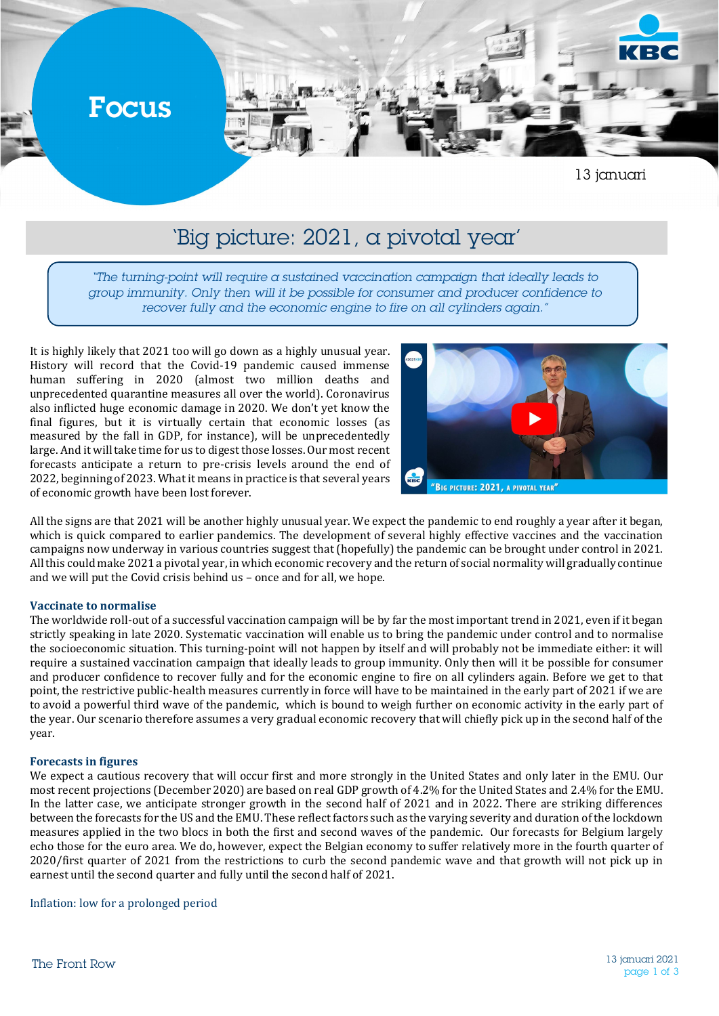

## 'Big picture: 2021, a pivotal year'

*"The turning-point will require a sustained vaccination campaign that ideally leads to group immunity. Only then will it be possible for consumer and producer confidence to recover fully and the economic engine to fire on all cylinders again."*

It is highly likely that 2021 too will go down as a highly unusual year. History will record that the Covid-19 pandemic caused immense human suffering in 2020 (almost two million deaths and unprecedented quarantine measures all over the world). Coronavirus also inflicted huge economic damage in 2020. We don't yet know the final figures, but it is virtually certain that economic losses (as measured by the fall in GDP, for instance), will be unprecedentedly large. And it will take time for us to digest those losses. Our most recent forecasts anticipate a return to pre-crisis levels around the end of 2022, beginning of 2023. What it means in practice is that several years of economic growth have been lost forever.



All the signs are that 2021 will be another highly unusual year. We expect the pandemic to end roughly a year after it began, which is quick compared to earlier pandemics. The development of several highly effective vaccines and the vaccination campaigns now underway in various countries suggest that (hopefully) the pandemic can be brought under control in 2021. All this could make 2021 a pivotal year, in which economic recovery and the return of social normality will gradually continue and we will put the Covid crisis behind us – once and for all, we hope.

## **Vaccinate to normalise**

The worldwide roll-out of a successful vaccination campaign will be by far the most important trend in 2021, even if it began strictly speaking in late 2020. Systematic vaccination will enable us to bring the pandemic under control and to normalise the socioeconomic situation. This turning-point will not happen by itself and will probably not be immediate either: it will require a sustained vaccination campaign that ideally leads to group immunity. Only then will it be possible for consumer and producer confidence to recover fully and for the economic engine to fire on all cylinders again. Before we get to that point, the restrictive public-health measures currently in force will have to be maintained in the early part of 2021 if we are to avoid a powerful third wave of the pandemic, which is bound to weigh further on economic activity in the early part of the year. Our scenario therefore assumes a very gradual economic recovery that will chiefly pick up in the second half of the year.

## **Forecasts in figures**

We expect a cautious recovery that will occur first and more strongly in the United States and only later in the EMU. Our most recent projections (December 2020) are based on real GDP growth of 4.2% for the United States and 2.4% for the EMU. In the latter case, we anticipate stronger growth in the second half of 2021 and in 2022. There are striking differences between the forecasts for the US and the EMU. These reflect factors such as the varying severity and duration of the lockdown measures applied in the two blocs in both the first and second waves of the pandemic. Our forecasts for Belgium largely echo those for the euro area. We do, however, expect the Belgian economy to suffer relatively more in the fourth quarter of 2020/first quarter of 2021 from the restrictions to curb the second pandemic wave and that growth will not pick up in earnest until the second quarter and fully until the second half of 2021.

Inflation: low for a prolonged period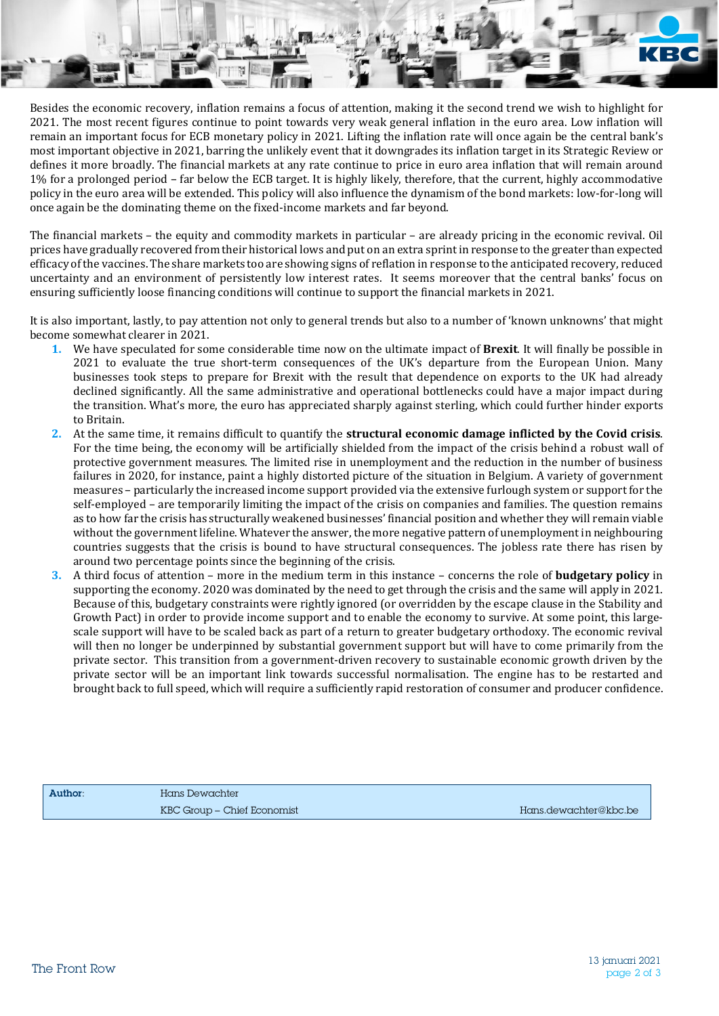Besides the economic recovery, inflation remains a focus of attention, making it the second trend we wish to highlight for 2021. The most recent figures continue to point towards very weak general inflation in the euro area. Low inflation will remain an important focus for ECB monetary policy in 2021. Lifting the inflation rate will once again be the central bank's most important objective in 2021, barring the unlikely event that it downgrades its inflation target in its Strategic Review or defines it more broadly. The financial markets at any rate continue to price in euro area inflation that will remain around 1% for a prolonged period – far below the ECB target. It is highly likely, therefore, that the current, highly accommodative policy in the euro area will be extended. This policy will also influence the dynamism of the bond markets: low-for-long will once again be the dominating theme on the fixed-income markets and far beyond.

The financial markets – the equity and commodity markets in particular – are already pricing in the economic revival. Oil prices have gradually recovered from their historical lows and put on an extra sprint in response to the greater than expected efficacy of the vaccines. The share markets too are showing signs of reflation in response to the anticipated recovery, reduced uncertainty and an environment of persistently low interest rates. It seems moreover that the central banks' focus on ensuring sufficiently loose financing conditions will continue to support the financial markets in 2021.

It is also important, lastly, to pay attention not only to general trends but also to a number of 'known unknowns' that might become somewhat clearer in 2021.

- **1.** We have speculated for some considerable time now on the ultimate impact of **Brexit**. It will finally be possible in 2021 to evaluate the true short-term consequences of the UK's departure from the European Union. Many businesses took steps to prepare for Brexit with the result that dependence on exports to the UK had already declined significantly. All the same administrative and operational bottlenecks could have a major impact during the transition. What's more, the euro has appreciated sharply against sterling, which could further hinder exports to Britain.
- **2.** At the same time, it remains difficult to quantify the **structural economic damage inflicted by the Covid crisis**. For the time being, the economy will be artificially shielded from the impact of the crisis behind a robust wall of protective government measures. The limited rise in unemployment and the reduction in the number of business failures in 2020, for instance, paint a highly distorted picture of the situation in Belgium. A variety of government measures – particularly the increased income support provided via the extensive furlough system or support for the self-employed – are temporarily limiting the impact of the crisis on companies and families. The question remains as to how far the crisis has structurally weakened businesses' financial position and whether they will remain viable without the government lifeline. Whatever the answer, the more negative pattern of unemployment in neighbouring countries suggests that the crisis is bound to have structural consequences. The jobless rate there has risen by around two percentage points since the beginning of the crisis.
- **3.** A third focus of attention more in the medium term in this instance concerns the role of **budgetary policy** in supporting the economy. 2020 was dominated by the need to get through the crisis and the same will apply in 2021. Because of this, budgetary constraints were rightly ignored (or overridden by the escape clause in the Stability and Growth Pact) in order to provide income support and to enable the economy to survive. At some point, this largescale support will have to be scaled back as part of a return to greater budgetary orthodoxy. The economic revival will then no longer be underpinned by substantial government support but will have to come primarily from the private sector. This transition from a government-driven recovery to sustainable economic growth driven by the private sector will be an important link towards successful normalisation. The engine has to be restarted and brought back to full speed, which will require a sufficiently rapid restoration of consumer and producer confidence.

Author: Hans Dewachter KBC Group – Chief Economist Hans.dewachter@kbc.be